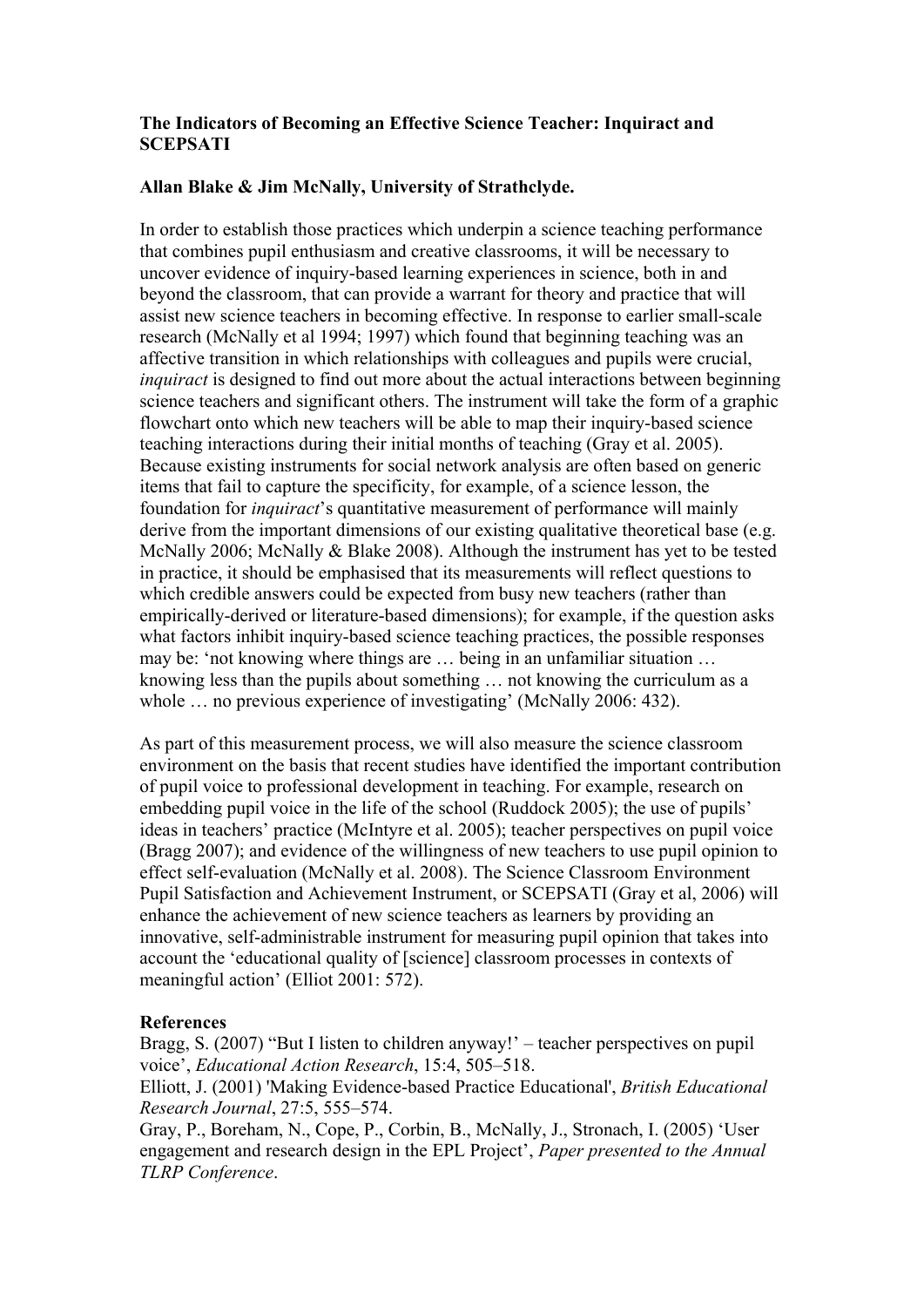## **The Indicators of Becoming an Effective Science Teacher: Inquiract and SCEPSATI**

## **Allan Blake & Jim McNally, University of Strathclyde.**

In order to establish those practices which underpin a science teaching performance that combines pupil enthusiasm and creative classrooms, it will be necessary to uncover evidence of inquiry-based learning experiences in science, both in and beyond the classroom, that can provide a warrant for theory and practice that will assist new science teachers in becoming effective. In response to earlier small-scale research (McNally et al 1994; 1997) which found that beginning teaching was an affective transition in which relationships with colleagues and pupils were crucial, *inquiract* is designed to find out more about the actual interactions between beginning science teachers and significant others. The instrument will take the form of a graphic flowchart onto which new teachers will be able to map their inquiry-based science teaching interactions during their initial months of teaching (Gray et al. 2005). Because existing instruments for social network analysis are often based on generic items that fail to capture the specificity, for example, of a science lesson, the foundation for *inquiract*'s quantitative measurement of performance will mainly derive from the important dimensions of our existing qualitative theoretical base (e.g. McNally 2006; McNally & Blake 2008). Although the instrument has yet to be tested in practice, it should be emphasised that its measurements will reflect questions to which credible answers could be expected from busy new teachers (rather than empirically-derived or literature-based dimensions); for example, if the question asks what factors inhibit inquiry-based science teaching practices, the possible responses may be: 'not knowing where things are ... being in an unfamiliar situation ... knowing less than the pupils about something ... not knowing the curriculum as a whole  $\ldots$  no previous experience of investigating' (McNally 2006: 432).

As part of this measurement process, we will also measure the science classroom environment on the basis that recent studies have identified the important contribution of pupil voice to professional development in teaching. For example, research on embedding pupil voice in the life of the school (Ruddock 2005); the use of pupils<sup>7</sup> ideas in teachers' practice (McIntyre et al. 2005); teacher perspectives on pupil voice (Bragg 2007); and evidence of the willingness of new teachers to use pupil opinion to effect self-evaluation (McNally et al. 2008). The Science Classroom Environment Pupil Satisfaction and Achievement Instrument, or SCEPSATI (Gray et al, 2006) will enhance the achievement of new science teachers as learners by providing an innovative, self-administrable instrument for measuring pupil opinion that takes into account the ëeducational quality of [science] classroom processes in contexts of meaningful action' (Elliot  $2001: 572$ ).

## **References**

Bragg, S. (2007) "But I listen to children anyway!"  $-$  teacher perspectives on pupil voice', *Educational Action Research*, 15:4, 505-518.

Elliott, J. (2001) 'Making Evidence-based Practice Educational', *British Educational Research Journal*, 27:5, 555-574.

Gray, P., Boreham, N., Cope, P., Corbin, B., McNally, J., Stronach, I. (2005) 'User engagement and research design in the EPL Project<sup>'</sup>, *Paper presented to the Annual TLRP Conference*.